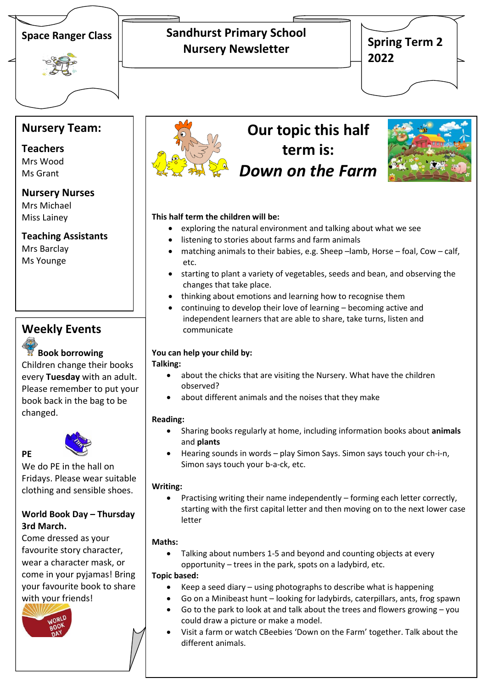

## **Sandhurst Primary School Nursery Newsletter**

**Spring Term 2 2022**

## **Nursery Team:**

## **Teachers**

Mrs Wood Ms Grant

#### **Nursery Nurses**

Mrs Michael Miss Lainey

#### **Teaching Assistants**

Mrs Barclay Ms Younge

## **Weekly Events**

### **Book borrowing**

Children change their books every **Tuesday** with an adult. Please remember to put your book back in the bag to be changed.



**PE** 

We do PE in the hall on Fridays. Please wear suitable clothing and sensible shoes.

#### **World Book Day – Thursday 3rd March.**

Come dressed as your favourite story character, wear a character mask, or come in your pyjamas! Bring your favourite book to share with your friends!





# **Our topic this half term is:** *Down on the Farm*



#### **This half term the children will be:**

- exploring the natural environment and talking about what we see
- listening to stories about farms and farm animals
- matching animals to their babies, e.g. Sheep –lamb, Horse foal, Cow calf, etc.
- starting to plant a variety of vegetables, seeds and bean, and observing the changes that take place.
- thinking about emotions and learning how to recognise them
- continuing to develop their love of learning becoming active and independent learners that are able to share, take turns, listen and communicate

#### **You can help your child by:**

#### **Talking:**

- about the chicks that are visiting the Nursery. What have the children observed?
- about different animals and the noises that they make

#### **Reading:**

- Sharing books regularly at home, including information books about **animals** and **plants**
- Hearing sounds in words play Simon Says. Simon says touch your ch-i-n, Simon says touch your b-a-ck, etc.

#### **Writing:**

 Practising writing their name independently – forming each letter correctly, starting with the first capital letter and then moving on to the next lower case letter

#### **Maths:**

 Talking about numbers 1-5 and beyond and counting objects at every opportunity – trees in the park, spots on a ladybird, etc.

#### **Topic based:**

- Keep a seed diary using photographs to describe what is happening
- Go on a Minibeast hunt looking for ladybirds, caterpillars, ants, frog spawn
- Go to the park to look at and talk about the trees and flowers growing you could draw a picture or make a model.
- Visit a farm or watch CBeebies 'Down on the Farm' together. Talk about the different animals.